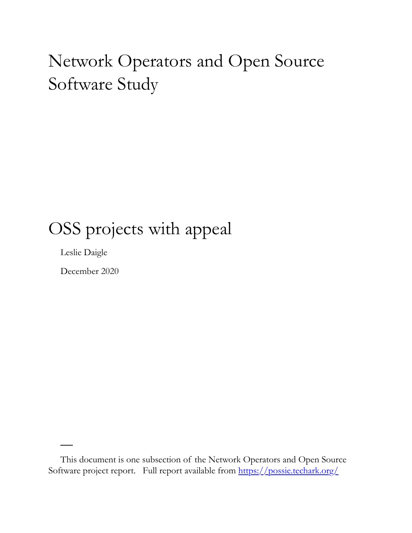# Network Operators and Open Source Software Study

### OSS projects with appeal

Leslie Daigle

December 2020

This document is one subsection of the Network Operators and Open Source Software project report. Full report available from<https://possie.techark.org/>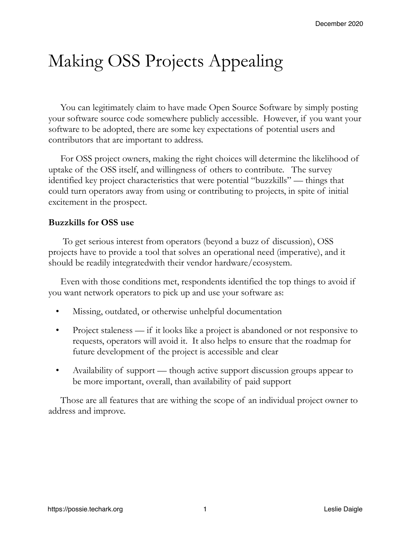## Making OSS Projects Appealing

You can legitimately claim to have made Open Source Software by simply posting your software source code somewhere publicly accessible. However, if you want your software to be adopted, there are some key expectations of potential users and contributors that are important to address.

For OSS project owners, making the right choices will determine the likelihood of uptake of the OSS itself, and willingness of others to contribute. The survey identified key project characteristics that were potential "buzzkills" — things that could turn operators away from using or contributing to projects, in spite of initial excitement in the prospect.

#### **Buzzkills for OSS use**

 To get serious interest from operators (beyond a buzz of discussion), OSS projects have to provide a tool that solves an operational need (imperative), and it should be readily integratedwith their vendor hardware/ecosystem.

Even with those conditions met, respondents identified the top things to avoid if you want network operators to pick up and use your software as:

- Missing, outdated, or otherwise unhelpful documentation
- Project staleness if it looks like a project is abandoned or not responsive to requests, operators will avoid it. It also helps to ensure that the roadmap for future development of the project is accessible and clear
- Availability of support though active support discussion groups appear to be more important, overall, than availability of paid support

Those are all features that are withing the scope of an individual project owner to address and improve.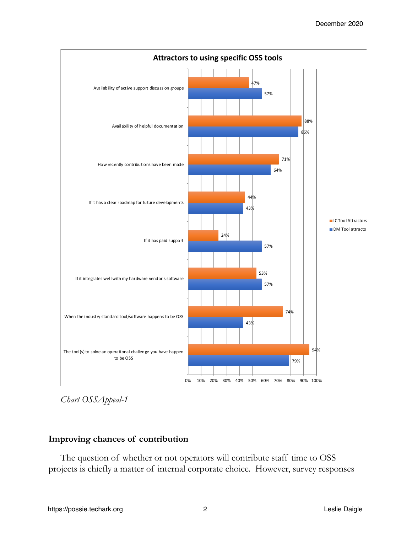

*Chart OSSAppeal-1*

### **Improving chances of contribution**

The question of whether or not operators will contribute staff time to OSS projects is chiefly a matter of internal corporate choice. However, survey responses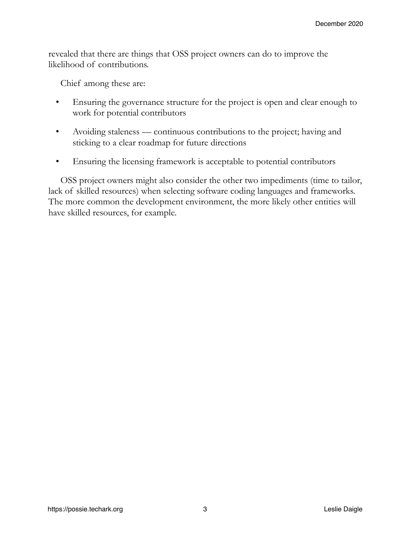revealed that there are things that OSS project owners can do to improve the likelihood of contributions.

Chief among these are:

- Ensuring the governance structure for the project is open and clear enough to work for potential contributors
- Avoiding staleness continuous contributions to the project; having and sticking to a clear roadmap for future directions
- Ensuring the licensing framework is acceptable to potential contributors

OSS project owners might also consider the other two impediments (time to tailor, lack of skilled resources) when selecting software coding languages and frameworks. The more common the development environment, the more likely other entities will have skilled resources, for example.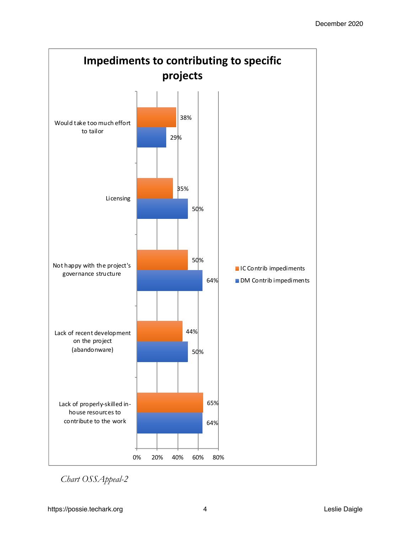

*Chart OSSAppeal-2*